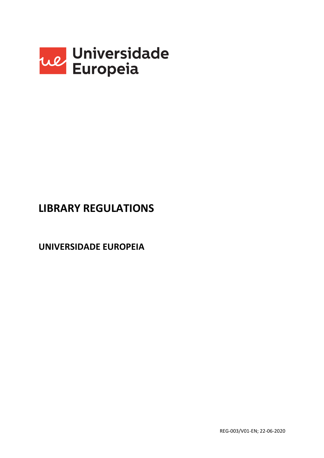

# **LIBRARY REGULATIONS**

**UNIVERSIDADE EUROPEIA**

REG-003/V01-EN; 22-06-2020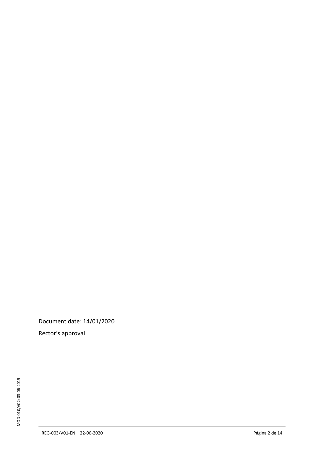Document date: 14 /01/2020

Rector's approval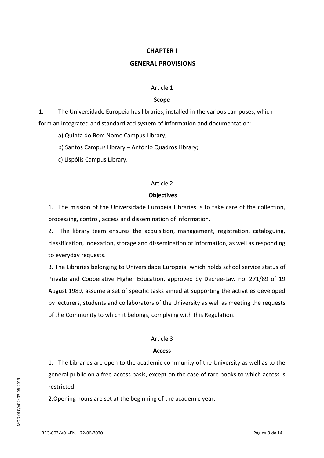## **CHAPTER I**

## **GENERAL PROVISIONS**

#### Article 1

#### **Scope**

1. The Universidade Europeia has libraries, installed in the various campuses, which form an integrated and standardized system of information and documentation:

a) Quinta do Bom Nome Campus Library;

b) Santos Campus Library – António Quadros Library;

c) Lispólis Campus Library.

#### Article 2

#### **Objectives**

1. The mission of the Universidade Europeia Libraries is to take care of the collection, processing, control, access and dissemination of information.

2. The library team ensures the acquisition, management, registration, cataloguing, classification, indexation, storage and dissemination of information, as well as responding to everyday requests.

3. The Libraries belonging to Universidade Europeia, which holds school service status of Private and Cooperative Higher Education, approved by Decree-Law no. 271/89 of 19 August 1989, assume a set of specific tasks aimed at supporting the activities developed by lecturers, students and collaborators of the University as well as meeting the requests of the Community to which it belongs, complying with this Regulation.

## Article 3

## **Access**

1. The Libraries are open to the academic community of the University as well as to the general public on a free-access basis, except on the case of rare books to which access is restricted.

2.Opening hours are set at the beginning of the academic year.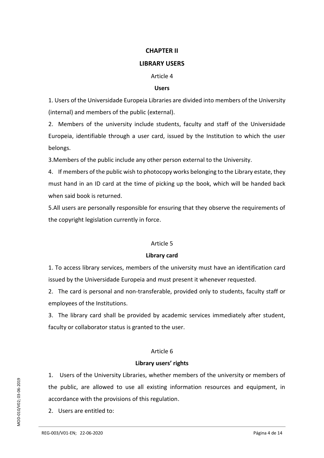## **CHAPTER II**

## **LIBRARY USERS**

Article 4

#### **Users**

1. Users of the Universidade Europeia Libraries are divided into members of the University (internal) and members of the public (external).

2. Members of the university include students, faculty and staff of the Universidade Europeia, identifiable through a user card, issued by the Institution to which the user belongs.

3.Members of the public include any other person external to the University.

4. If members of the public wish to photocopy works belonging to the Library estate, they must hand in an ID card at the time of picking up the book, which will be handed back when said book is returned.

5.All users are personally responsible for ensuring that they observe the requirements of the copyright legislation currently in force.

## Article 5

## **Library card**

1. To access library services, members of the university must have an identification card issued by the Universidade Europeia and must present it whenever requested.

2. The card is personal and non-transferable, provided only to students, faculty staff or employees of the Institutions.

3. The library card shall be provided by academic services immediately after student, faculty or collaborator status is granted to the user.

## Article 6

## **Library users' rights**

1. Users of the University Libraries, whether members of the university or members of the public, are allowed to use all existing information resources and equipment, in accordance with the provisions of this regulation.

2. Users are entitled to: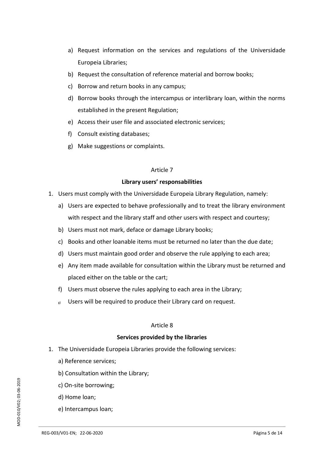- a) Request information on the services and regulations of the Universidade Europeia Libraries;
- b) Request the consultation of reference material and borrow books;
- c) Borrow and return books in any campus;
- d) Borrow books through the intercampus or interlibrary loan, within the norms established in the present Regulation;
- e) Access their user file and associated electronic services;
- f) Consult existing databases;
- g) Make suggestions or complaints.

#### Article 7

## **Library users' responsabilities**

- 1. Users must comply with the Universidade Europeia Library Regulation, namely:
	- a) Users are expected to behave professionally and to treat the library environment with respect and the library staff and other users with respect and courtesy;
	- b) Users must not mark, deface or damage Library books;
	- c) Books and other loanable items must be returned no later than the due date;
	- d) Users must maintain good order and observe the rule applying to each area;
	- e) Any item made available for consultation within the Library must be returned and placed either on the table or the cart;
	- f) Users must observe the rules applying to each area in the Library;
	- $g$  Users will be required to produce their Library card on request.

## Article 8

## **Services provided by the libraries**

- 1. The Universidade Europeia Libraries provide the following services:
	- a) Reference services;
	- b) Consultation within the Library;
	- c) On-site borrowing;
	- d) Home loan;
	- e) Intercampus loan;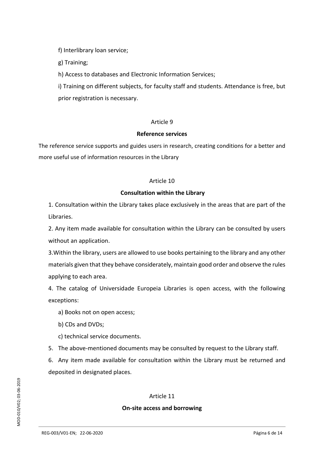f) Interlibrary loan service;

g) Training;

h) Access to databases and Electronic Information Services;

i) Training on different subjects, for faculty staff and students. Attendance is free, but prior registration is necessary.

## Article 9

## **Reference services**

The reference service supports and guides users in research, creating conditions for a better and more useful use of information resources in the Library

## Article 10

## **Consultation within the Library**

1. Consultation within the Library takes place exclusively in the areas that are part of the Libraries.

2. Any item made available for consultation within the Library can be consulted by users without an application.

3.Within the library, users are allowed to use books pertaining to the library and any other materials given that they behave considerately, maintain good order and observe the rules applying to each area.

4. The catalog of Universidade Europeia Libraries is open access, with the following exceptions:

- a) Books not on open access;
- b) CDs and DVDs;

c) technical service documents.

5. The above-mentioned documents may be consulted by request to the Library staff.

6. Any item made available for consultation within the Library must be returned and deposited in designated places.

# Article 11

# **On-site access and borrowing**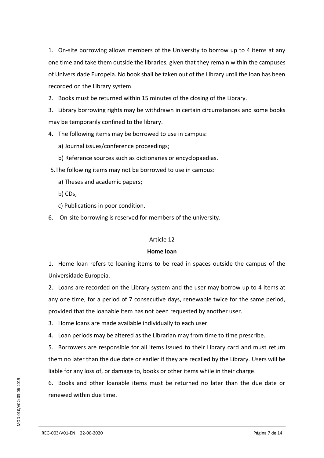1. On-site borrowing allows members of the University to borrow up to 4 items at any one time and take them outside the libraries, given that they remain within the campuses of Universidade Europeia. No book shall be taken out of the Library until the loan has been recorded on the Library system.

2. Books must be returned within 15 minutes of the closing of the Library.

3. Library borrowing rights may be withdrawn in certain circumstances and some books may be temporarily confined to the library.

- 4. The following items may be borrowed to use in campus:
	- a) Journal issues/conference proceedings;
	- b) Reference sources such as dictionaries or encyclopaedias.
- 5.The following items may not be borrowed to use in campus:
	- a) Theses and academic papers;
	- b) CDs;
	- c) Publications in poor condition.
- 6. On-site borrowing is reserved for members of the university.

## Article 12

## **Home loan**

1. Home loan refers to loaning items to be read in spaces outside the campus of the Universidade Europeia.

2. Loans are recorded on the Library system and the user may borrow up to 4 items at any one time, for a period of 7 consecutive days, renewable twice for the same period, provided that the loanable item has not been requested by another user.

3. Home loans are made available individually to each user.

4. Loan periods may be altered as the Librarian may from time to time prescribe.

5. Borrowers are responsible for all items issued to their Library card and must return them no later than the due date or earlier if they are recalled by the Library. Users will be liable for any loss of, or damage to, books or other items while in their charge.

6. Books and other loanable items must be returned no later than the due date or renewed within due time.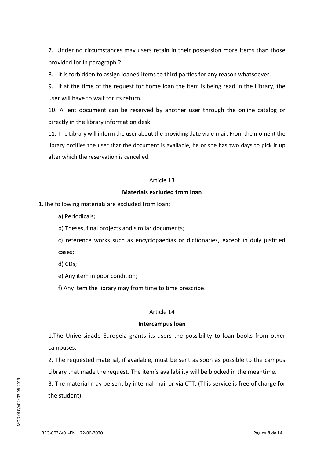7. Under no circumstances may users retain in their possession more items than those provided for in paragraph 2.

8. It is forbidden to assign loaned items to third parties for any reason whatsoever.

9. If at the time of the request for home loan the item is being read in the Library, the user will have to wait for its return.

10. A lent document can be reserved by another user through the online catalog or directly in the library information desk.

11. The Library will inform the user about the providing date via e-mail. From the moment the library notifies the user that the document is available, he or she has two days to pick it up after which the reservation is cancelled.

## Article 13

## **Materials excluded from loan**

1.The following materials are excluded from loan:

- a) Periodicals;
- b) Theses, final projects and similar documents;

c) reference works such as encyclopaedias or dictionaries, except in duly justified cases;

- d) CDs;
- e) Any item in poor condition;
- f) Any item the library may from time to time prescribe.

## Article 14

## **Intercampus loan**

1.The Universidade Europeia grants its users the possibility to loan books from other campuses.

2. The requested material, if available, must be sent as soon as possible to the campus Library that made the request. The item's availability will be blocked in the meantime.

3. The material may be sent by internal mail or via CTT. (This service is free of charge for the student).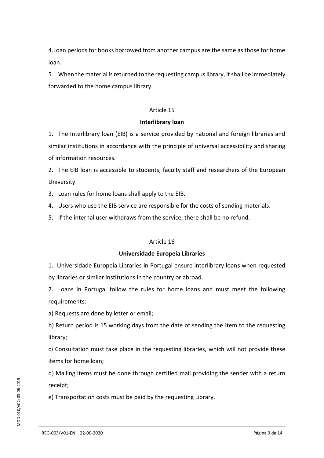4.Loan periods for books borrowed from another campus are the same as those for home loan.

5. When the material is returned to the requesting campus library, it shall be immediately forwarded to the home campus library.

## Article 15

## **Interlibrary loan**

1. The Interlibrary loan (EIB) is a service provided by national and foreign libraries and similar institutions in accordance with the principle of universal accessibility and sharing of information resources.

2. The EIB loan is accessible to students, faculty staff and researchers of the European University.

3. Loan rules for home loans shall apply to the EIB.

4. Users who use the EIB service are responsible for the costs of sending materials.

5. If the internal user withdraws from the service, there shall be no refund.

## Article 16

## **Universidade Europeia Libraries**

1. Universidade Europeia Libraries in Portugal ensure interlibrary loans when requested by libraries or similar institutions in the country or abroad.

2. Loans in Portugal follow the rules for home loans and must meet the following requirements:

a) Requests are done by letter or email;

b) Return period is 15 working days from the date of sending the item to the requesting library;

c) Consultation must take place in the requesting libraries, which will not provide these items for home loan;

d) Mailing items must be done through certified mail providing the sender with a return receipt;

e) Transportation costs must be paid by the requesting Library.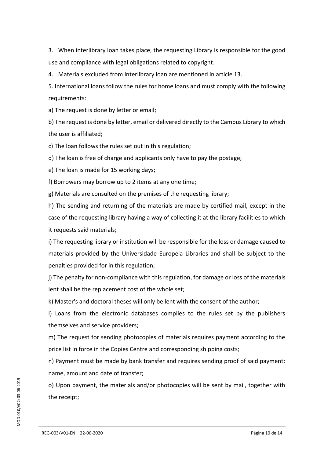3. When interlibrary loan takes place, the requesting Library is responsible for the good use and compliance with legal obligations related to copyright.

4. Materials excluded from interlibrary loan are mentioned in article 13.

5. International loans follow the rules for home loans and must comply with the following requirements:

a) The request is done by letter or email;

b) The request is done by letter, email or delivered directly to the Campus Library to which the user is affiliated;

c) The loan follows the rules set out in this regulation;

d) The loan is free of charge and applicants only have to pay the postage;

e) The loan is made for 15 working days;

f) Borrowers may borrow up to 2 items at any one time;

g) Materials are consulted on the premises of the requesting library;

h) The sending and returning of the materials are made by certified mail, except in the case of the requesting library having a way of collecting it at the library facilities to which it requests said materials;

i) The requesting library or institution will be responsible for the loss or damage caused to materials provided by the Universidade Europeia Libraries and shall be subject to the penalties provided for in this regulation;

j) The penalty for non-compliance with this regulation, for damage or loss of the materials lent shall be the replacement cost of the whole set;

k) Master's and doctoral theses will only be lent with the consent of the author;

l) Loans from the electronic databases complies to the rules set by the publishers themselves and service providers;

m) The request for sending photocopies of materials requires payment according to the price list in force in the Copies Centre and corresponding shipping costs;

n) Payment must be made by bank transfer and requires sending proof of said payment: name, amount and date of transfer;

o) Upon payment, the materials and/or photocopies will be sent by mail, together with the receipt;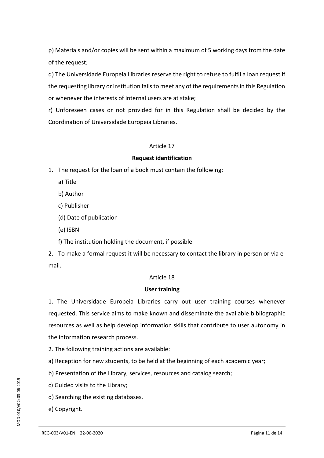p) Materials and/or copies will be sent within a maximum of 5 working days from the date of the request;

q) The Universidade Europeia Libraries reserve the right to refuse to fulfil a loan request if the requesting library or institution fails to meet any of the requirements in this Regulation or whenever the interests of internal users are at stake;

r) Unforeseen cases or not provided for in this Regulation shall be decided by the Coordination of Universidade Europeia Libraries.

## Article 17

#### **Request identification**

1. The request for the loan of a book must contain the following:

- a) Title
- b) Author
- c) Publisher
- (d) Date of publication
- (e) ISBN

f) The institution holding the document, if possible

2. To make a formal request it will be necessary to contact the library in person or via email.

## Article 18

## **User training**

1. The Universidade Europeia Libraries carry out user training courses whenever requested. This service aims to make known and disseminate the available bibliographic resources as well as help develop information skills that contribute to user autonomy in the information research process.

- 2. The following training actions are available:
- a) Reception for new students, to be held at the beginning of each academic year;
- b) Presentation of the Library, services, resources and catalog search;
- c) Guided visits to the Library;
- d) Searching the existing databases.
- e) Copyright.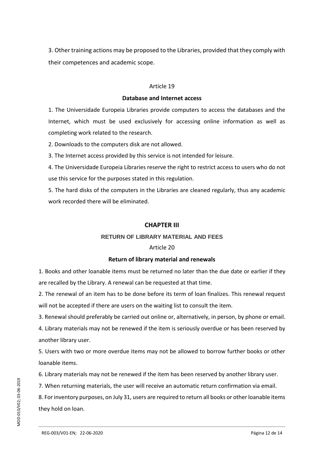3. Other training actions may be proposed to the Libraries, provided that they comply with their competences and academic scope.

#### Article 19

#### **Database and Internet access**

1. The Universidade Europeia Libraries provide computers to access the databases and the Internet, which must be used exclusively for accessing online information as well as completing work related to the research.

2. Downloads to the computers disk are not allowed.

3. The Internet access provided by this service is not intended for leisure.

4. The Universidade Europeia Libraries reserve the right to restrict access to users who do not use this service for the purposes stated in this regulation.

5. The hard disks of the computers in the Libraries are cleaned regularly, thus any academic work recorded there will be eliminated.

## **CHAPTER III**

## **RETURN OF LIBRARY MATERIAL AND FEES**

## Article 20

## **Return of library material and renewals**

1. Books and other loanable items must be returned no later than the due date or earlier if they are recalled by the Library. A renewal can be requested at that time.

2. The renewal of an item has to be done before its term of loan finalizes. This renewal request will not be accepted if there are users on the waiting list to consult the item.

3. Renewal should preferably be carried out online or, alternatively, in person, by phone or email.

4. Library materials may not be renewed if the item is seriously overdue or has been reserved by another library user.

5. Users with two or more overdue items may not be allowed to borrow further books or other loanable items.

6. Library materials may not be renewed if the item has been reserved by another library user.

7. When returning materials, the user will receive an automatic return confirmation via email.

8. For inventory purposes, on July 31, users are required to return all books or other loanable items they hold on loan.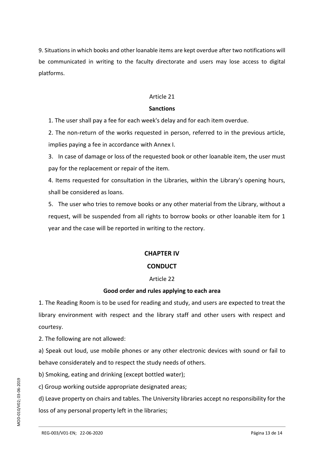9. Situations in which books and other loanable items are kept overdue after two notifications will be communicated in writing to the faculty directorate and users may lose access to digital platforms.

## Article 21

## **Sanctions**

1. The user shall pay a fee for each week's delay and for each item overdue.

2. The non-return of the works requested in person, referred to in the previous article, implies paying a fee in accordance with Annex I.

3. In case of damage or loss of the requested book or other loanable item, the user must pay for the replacement or repair of the item.

4. Items requested for consultation in the Libraries, within the Library's opening hours, shall be considered as loans.

5. The user who tries to remove books or any other material from the Library, without a request, will be suspended from all rights to borrow books or other loanable item for 1 year and the case will be reported in writing to the rectory.

## **CHAPTER IV**

# **CONDUCT**

## Article 22

## **Good order and rules applying to each area**

1. The Reading Room is to be used for reading and study, and users are expected to treat the library environment with respect and the library staff and other users with respect and courtesy.

2. The following are not allowed:

a) Speak out loud, use mobile phones or any other electronic devices with sound or fail to behave considerately and to respect the study needs of others.

b) Smoking, eating and drinking (except bottled water);

c) Group working outside appropriate designated areas;

d) Leave property on chairs and tables. The University libraries accept no responsibility for the loss of any personal property left in the libraries;